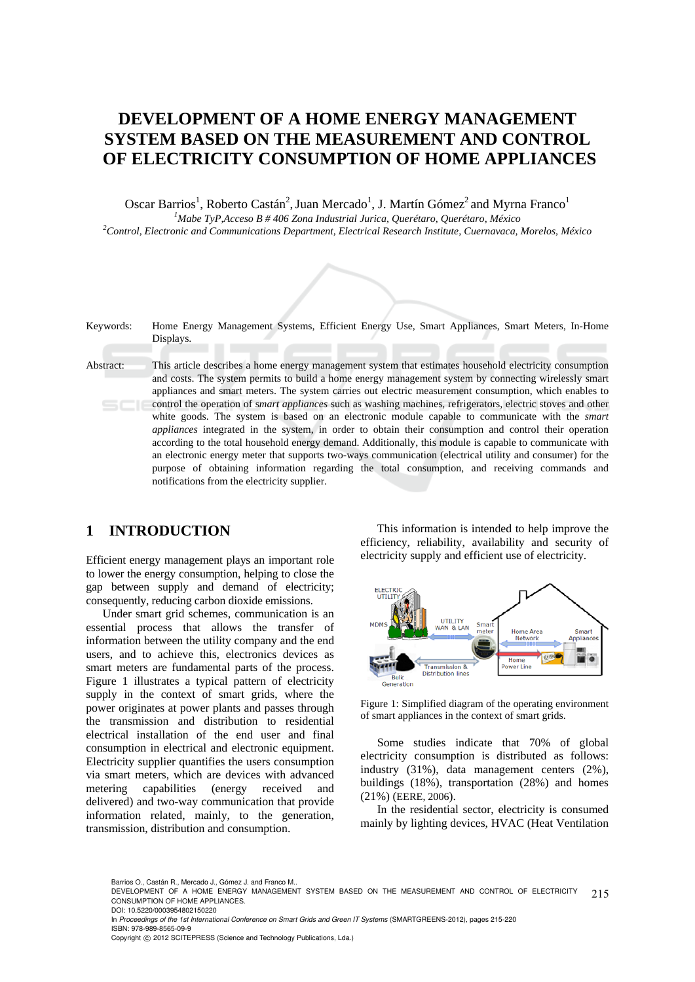# **DEVELOPMENT OF A HOME ENERGY MANAGEMENT SYSTEM BASED ON THE MEASUREMENT AND CONTROL OF ELECTRICITY CONSUMPTION OF HOME APPLIANCES**

Oscar Barrios<sup>1</sup>, Roberto Castán<sup>2</sup>, Juan Mercado<sup>1</sup>, J. Martín Gómez<sup>2</sup> and Myrna Franco<sup>1</sup> <sup>1</sup><br>
<sup>1</sup>Mabe TyP,Acceso B # 406 Zona Industrial Jurica, Querétaro, Querétaro, México <sup>2</sup>Control, Electronia and Communications Danastment, Electrical Bessense Institute, Cuernanzae, *Control, Electronic and Communications Department, Electrical Research Institute, Cuernavaca, Morelos, México* 

| Keywords: | Home Energy Management Systems, Efficient Energy Use, Smart Appliances, Smart Meters, In-Home<br>Displays.                                                                                                                                                                                                                                                                                                                                                                                                                                                                                                                                                                                                                                                                                                                                                                                                                                                                                                                                   |
|-----------|----------------------------------------------------------------------------------------------------------------------------------------------------------------------------------------------------------------------------------------------------------------------------------------------------------------------------------------------------------------------------------------------------------------------------------------------------------------------------------------------------------------------------------------------------------------------------------------------------------------------------------------------------------------------------------------------------------------------------------------------------------------------------------------------------------------------------------------------------------------------------------------------------------------------------------------------------------------------------------------------------------------------------------------------|
| Abstract: | This article describes a home energy management system that estimates household electricity consumption<br>and costs. The system permits to build a home energy management system by connecting wirelessly smart<br>appliances and smart meters. The system carries out electric measurement consumption, which enables to<br>control the operation of <i>smart appliances</i> such as washing machines, refrigerators, electric stoves and other<br>white goods. The system is based on an electronic module capable to communicate with the <i>smart</i><br>appliances integrated in the system, in order to obtain their consumption and control their operation<br>according to the total household energy demand. Additionally, this module is capable to communicate with<br>an electronic energy meter that supports two-ways communication (electrical utility and consumer) for the<br>purpose of obtaining information regarding the total consumption, and receiving commands and<br>notifications from the electricity supplier. |

### **1 INTRODUCTION**

Efficient energy management plays an important role to lower the energy consumption, helping to close the gap between supply and demand of electricity; consequently, reducing carbon dioxide emissions.

Under smart grid schemes, communication is an essential process that allows the transfer of information between the utility company and the end users, and to achieve this, electronics devices as smart meters are fundamental parts of the process. Figure 1 illustrates a typical pattern of electricity supply in the context of smart grids, where the power originates at power plants and passes through the transmission and distribution to residential electrical installation of the end user and final consumption in electrical and electronic equipment. Electricity supplier quantifies the users consumption via smart meters, which are devices with advanced metering capabilities (energy received and delivered) and two-way communication that provide information related, mainly, to the generation, transmission, distribution and consumption.

This information is intended to help improve the efficiency, reliability, availability and security of electricity supply and efficient use of electricity.



Figure 1: Simplified diagram of the operating environment of smart appliances in the context of smart grids.

Some studies indicate that 70% of global electricity consumption is distributed as follows: industry (31%), data management centers (2%), buildings (18%), transportation (28%) and homes (21%) (EERE, 2006).

In the residential sector, electricity is consumed mainly by lighting devices, HVAC (Heat Ventilation

Barrios O., Castán R., Mercado J., Gómez J. and Franco M..

<sup>215</sup> DEVELOPMENT OF A HOME ENERGY MANAGEMENT SYSTEM BASED ON THE MEASUREMENT AND CONTROL OF ELECTRICITY CONSUMPTION OF HOME APPLIANCES. DOI: 10.5220/0003954802150220

In *Proceedings of the 1st International Conference on Smart Grids and Green IT Systems* (SMARTGREENS-2012), pages 215-220 ISBN: 978-989-8565-09-9

Copyright © 2012 SCITEPRESS (Science and Technology Publications, Lda.)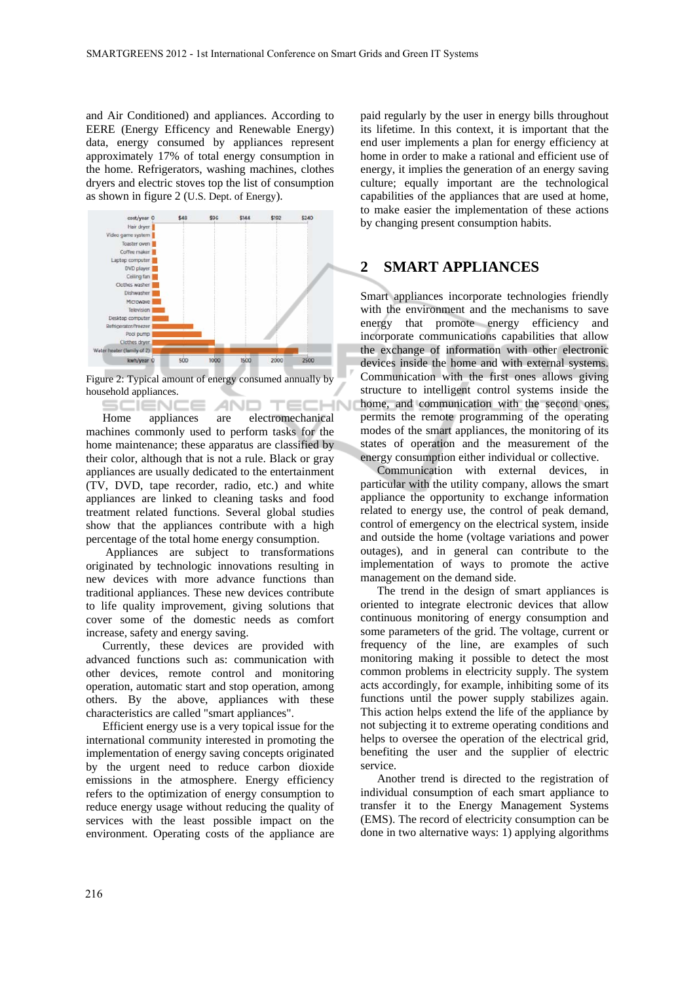and Air Conditioned) and appliances. According to EERE (Energy Efficency and Renewable Energy) data, energy consumed by appliances represent approximately 17% of total energy consumption in the home. Refrigerators, washing machines, clothes dryers and electric stoves top the list of consumption as shown in figure 2 (U.S. Dept. of Energy).



Figure 2: Typical amount of energy consumed annually by household appliances.

1N AND. 5CIENCE ⊤∈∟ Home appliances are electromechanical machines commonly used to perform tasks for the home maintenance; these apparatus are classified by their color, although that is not a rule. Black or gray appliances are usually dedicated to the entertainment (TV, DVD, tape recorder, radio, etc.) and white appliances are linked to cleaning tasks and food treatment related functions. Several global studies show that the appliances contribute with a high percentage of the total home energy consumption.

 Appliances are subject to transformations originated by technologic innovations resulting in new devices with more advance functions than traditional appliances. These new devices contribute to life quality improvement, giving solutions that cover some of the domestic needs as comfort increase, safety and energy saving.

Currently, these devices are provided with advanced functions such as: communication with other devices, remote control and monitoring operation, automatic start and stop operation, among others. By the above, appliances with these characteristics are called "smart appliances".

Efficient energy use is a very topical issue for the international community interested in promoting the implementation of energy saving concepts originated by the urgent need to reduce carbon dioxide emissions in the atmosphere. Energy efficiency refers to the optimization of energy consumption to reduce energy usage without reducing the quality of services with the least possible impact on the environment. Operating costs of the appliance are

paid regularly by the user in energy bills throughout its lifetime. In this context, it is important that the end user implements a plan for energy efficiency at home in order to make a rational and efficient use of energy, it implies the generation of an energy saving culture; equally important are the technological capabilities of the appliances that are used at home, to make easier the implementation of these actions by changing present consumption habits.

### **2 SMART APPLIANCES**

Smart appliances incorporate technologies friendly with the environment and the mechanisms to save energy that promote energy efficiency and incorporate communications capabilities that allow the exchange of information with other electronic devices inside the home and with external systems. Communication with the first ones allows giving structure to intelligent control systems inside the home, and communication with the second ones, permits the remote programming of the operating modes of the smart appliances, the monitoring of its states of operation and the measurement of the energy consumption either individual or collective.

Communication with external devices, in particular with the utility company, allows the smart appliance the opportunity to exchange information related to energy use, the control of peak demand, control of emergency on the electrical system, inside and outside the home (voltage variations and power outages), and in general can contribute to the implementation of ways to promote the active management on the demand side.

The trend in the design of smart appliances is oriented to integrate electronic devices that allow continuous monitoring of energy consumption and some parameters of the grid. The voltage, current or frequency of the line, are examples of such monitoring making it possible to detect the most common problems in electricity supply. The system acts accordingly, for example, inhibiting some of its functions until the power supply stabilizes again. This action helps extend the life of the appliance by not subjecting it to extreme operating conditions and helps to oversee the operation of the electrical grid, benefiting the user and the supplier of electric service.

Another trend is directed to the registration of individual consumption of each smart appliance to transfer it to the Energy Management Systems (EMS). The record of electricity consumption can be done in two alternative ways: 1) applying algorithms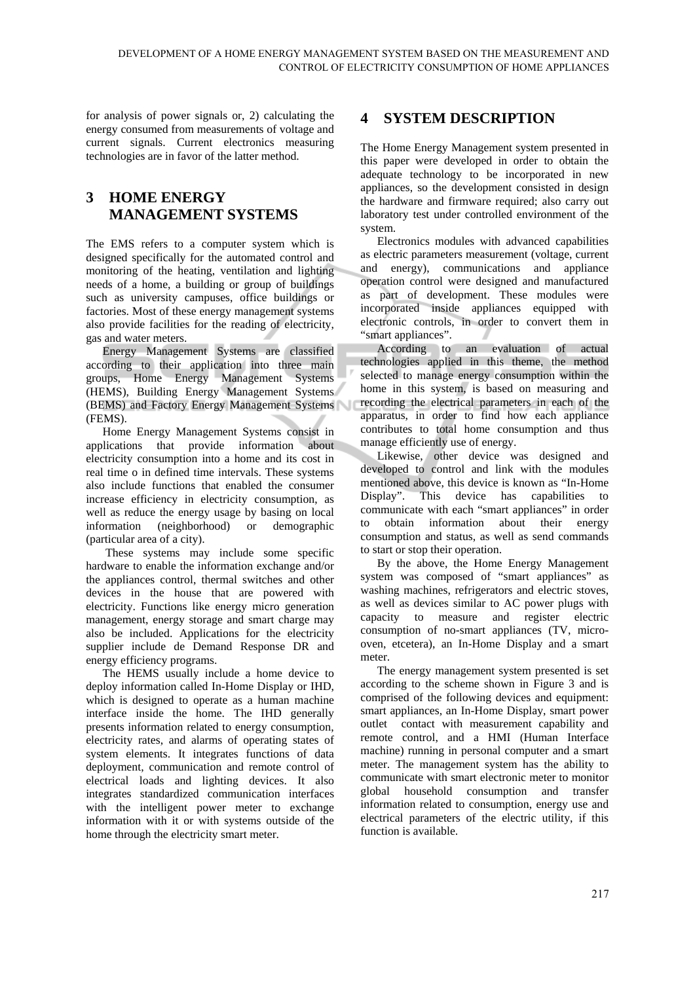for analysis of power signals or, 2) calculating the energy consumed from measurements of voltage and current signals. Current electronics measuring technologies are in favor of the latter method.

## **3 HOME ENERGY MANAGEMENT SYSTEMS**

The EMS refers to a computer system which is designed specifically for the automated control and monitoring of the heating, ventilation and lighting needs of a home, a building or group of buildings such as university campuses, office buildings or factories. Most of these energy management systems also provide facilities for the reading of electricity, gas and water meters.

Energy Management Systems are classified according to their application into three main groups, Home Energy Management Systems (HEMS), Building Energy Management Systems (BEMS) and Factory Energy Management Systems (FEMS).

Home Energy Management Systems consist in applications that provide information about electricity consumption into a home and its cost in real time o in defined time intervals. These systems also include functions that enabled the consumer increase efficiency in electricity consumption, as well as reduce the energy usage by basing on local information (neighborhood) or demographic (particular area of a city).

 These systems may include some specific hardware to enable the information exchange and/or the appliances control, thermal switches and other devices in the house that are powered with electricity. Functions like energy micro generation management, energy storage and smart charge may also be included. Applications for the electricity supplier include de Demand Response DR and energy efficiency programs.

The HEMS usually include a home device to deploy information called In-Home Display or IHD, which is designed to operate as a human machine interface inside the home. The IHD generally presents information related to energy consumption, electricity rates, and alarms of operating states of system elements. It integrates functions of data deployment, communication and remote control of electrical loads and lighting devices. It also integrates standardized communication interfaces with the intelligent power meter to exchange information with it or with systems outside of the home through the electricity smart meter.

## **4 SYSTEM DESCRIPTION**

The Home Energy Management system presented in this paper were developed in order to obtain the adequate technology to be incorporated in new appliances, so the development consisted in design the hardware and firmware required; also carry out laboratory test under controlled environment of the system.

Electronics modules with advanced capabilities as electric parameters measurement (voltage, current and energy), communications and appliance operation control were designed and manufactured as part of development. These modules were incorporated inside appliances equipped with electronic controls, in order to convert them in "smart appliances".

According to an evaluation of actual technologies applied in this theme, the method selected to manage energy consumption within the home in this system, is based on measuring and recording the electrical parameters in each of the apparatus, in order to find how each appliance contributes to total home consumption and thus manage efficiently use of energy.

Likewise, other device was designed and developed to control and link with the modules mentioned above, this device is known as "In-Home Display". This device has capabilities to communicate with each "smart appliances" in order to obtain information about their energy consumption and status, as well as send commands to start or stop their operation.

By the above, the Home Energy Management system was composed of "smart appliances" as washing machines, refrigerators and electric stoves, as well as devices similar to AC power plugs with capacity to measure and register electric consumption of no-smart appliances (TV, microoven, etcetera), an In-Home Display and a smart meter.

The energy management system presented is set according to the scheme shown in Figure 3 and is comprised of the following devices and equipment: smart appliances, an In-Home Display, smart power outlet contact with measurement capability and remote control, and a HMI (Human Interface machine) running in personal computer and a smart meter. The management system has the ability to communicate with smart electronic meter to monitor global household consumption and transfer information related to consumption, energy use and electrical parameters of the electric utility, if this function is available.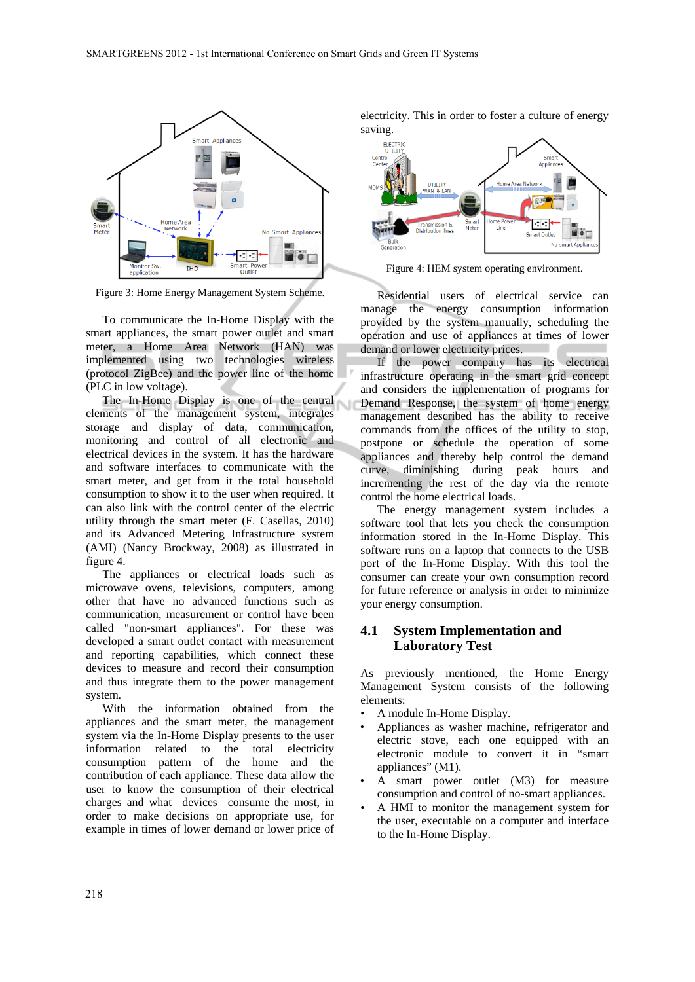

Figure 3: Home Energy Management System Scheme.

To communicate the In-Home Display with the smart appliances, the smart power outlet and smart meter, a Home Area Network (HAN) was implemented using two technologies wireless (protocol ZigBee) and the power line of the home (PLC in low voltage).

The In-Home Display is one of the central elements of the management system, integrates storage and display of data, communication, monitoring and control of all electronic and electrical devices in the system. It has the hardware and software interfaces to communicate with the smart meter, and get from it the total household consumption to show it to the user when required. It can also link with the control center of the electric utility through the smart meter (F. Casellas, 2010) and its Advanced Metering Infrastructure system (AMI) (Nancy Brockway, 2008) as illustrated in figure 4.

The appliances or electrical loads such as microwave ovens, televisions, computers, among other that have no advanced functions such as communication, measurement or control have been called "non-smart appliances". For these was developed a smart outlet contact with measurement and reporting capabilities, which connect these devices to measure and record their consumption and thus integrate them to the power management system.

With the information obtained from the appliances and the smart meter, the management system via the In-Home Display presents to the user information related to the total electricity consumption pattern of the home and the contribution of each appliance. These data allow the user to know the consumption of their electrical charges and what devices consume the most, in order to make decisions on appropriate use, for example in times of lower demand or lower price of electricity. This in order to foster a culture of energy saving.



Figure 4: HEM system operating environment.

Residential users of electrical service can manage the energy consumption information provided by the system manually, scheduling the operation and use of appliances at times of lower demand or lower electricity prices.

If the power company has its electrical infrastructure operating in the smart grid concept and considers the implementation of programs for Demand Response, the system of home energy management described has the ability to receive commands from the offices of the utility to stop, postpone or schedule the operation of some appliances and thereby help control the demand curve, diminishing during peak hours and incrementing the rest of the day via the remote control the home electrical loads.

The energy management system includes a software tool that lets you check the consumption information stored in the In-Home Display. This software runs on a laptop that connects to the USB port of the In-Home Display. With this tool the consumer can create your own consumption record for future reference or analysis in order to minimize your energy consumption.

#### **4.1 System Implementation and Laboratory Test**

As previously mentioned, the Home Energy Management System consists of the following elements:

- A module In-Home Display.
- Appliances as washer machine, refrigerator and electric stove, each one equipped with an electronic module to convert it in "smart appliances" (M1).
- A smart power outlet (M3) for measure consumption and control of no-smart appliances.
- A HMI to monitor the management system for the user, executable on a computer and interface to the In-Home Display.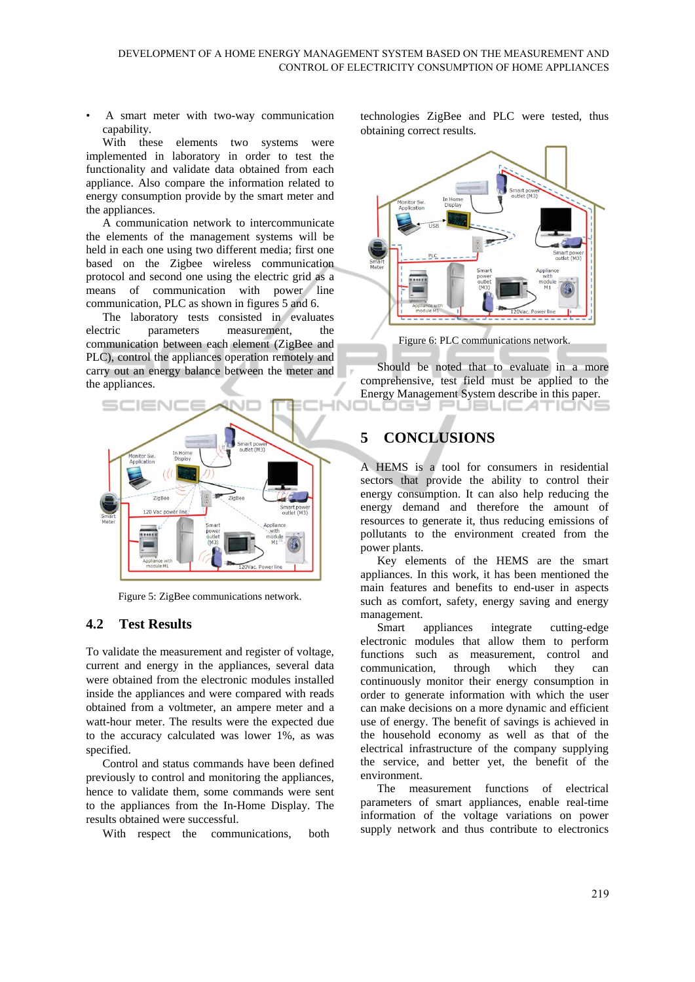• A smart meter with two-way communication capability.

With these elements two systems were implemented in laboratory in order to test the functionality and validate data obtained from each appliance. Also compare the information related to energy consumption provide by the smart meter and the appliances.

A communication network to intercommunicate the elements of the management systems will be held in each one using two different media; first one based on the Zigbee wireless communication protocol and second one using the electric grid as a means of communication with power line communication, PLC as shown in figures 5 and 6.

The laboratory tests consisted in evaluates electric parameters measurement, communication between each element (ZigBee and PLC), control the appliances operation remotely and carry out an energy balance between the meter and the appliances.



Figure 5: ZigBee communications network.

#### **4.2 Test Results**

To validate the measurement and register of voltage, current and energy in the appliances, several data were obtained from the electronic modules installed inside the appliances and were compared with reads obtained from a voltmeter, an ampere meter and a watt-hour meter. The results were the expected due to the accuracy calculated was lower 1%, as was specified.

Control and status commands have been defined previously to control and monitoring the appliances, hence to validate them, some commands were sent to the appliances from the In-Home Display. The results obtained were successful.

With respect the communications, both

technologies ZigBee and PLC were tested, thus obtaining correct results.



Figure 6: PLC communications network.

Should be noted that to evaluate in a more comprehensive, test field must be applied to the Energy Management System describe in this paper. ogy r JBLICATIONS

## **5 CONCLUSIONS**

A HEMS is a tool for consumers in residential sectors that provide the ability to control their energy consumption. It can also help reducing the energy demand and therefore the amount of resources to generate it, thus reducing emissions of pollutants to the environment created from the power plants.

Key elements of the HEMS are the smart appliances. In this work, it has been mentioned the main features and benefits to end-user in aspects such as comfort, safety, energy saving and energy management.

Smart appliances integrate cutting-edge electronic modules that allow them to perform functions such as measurement, control and communication, through which they can continuously monitor their energy consumption in order to generate information with which the user can make decisions on a more dynamic and efficient use of energy. The benefit of savings is achieved in the household economy as well as that of the electrical infrastructure of the company supplying the service, and better yet, the benefit of the environment.

The measurement functions of electrical parameters of smart appliances, enable real-time information of the voltage variations on power supply network and thus contribute to electronics